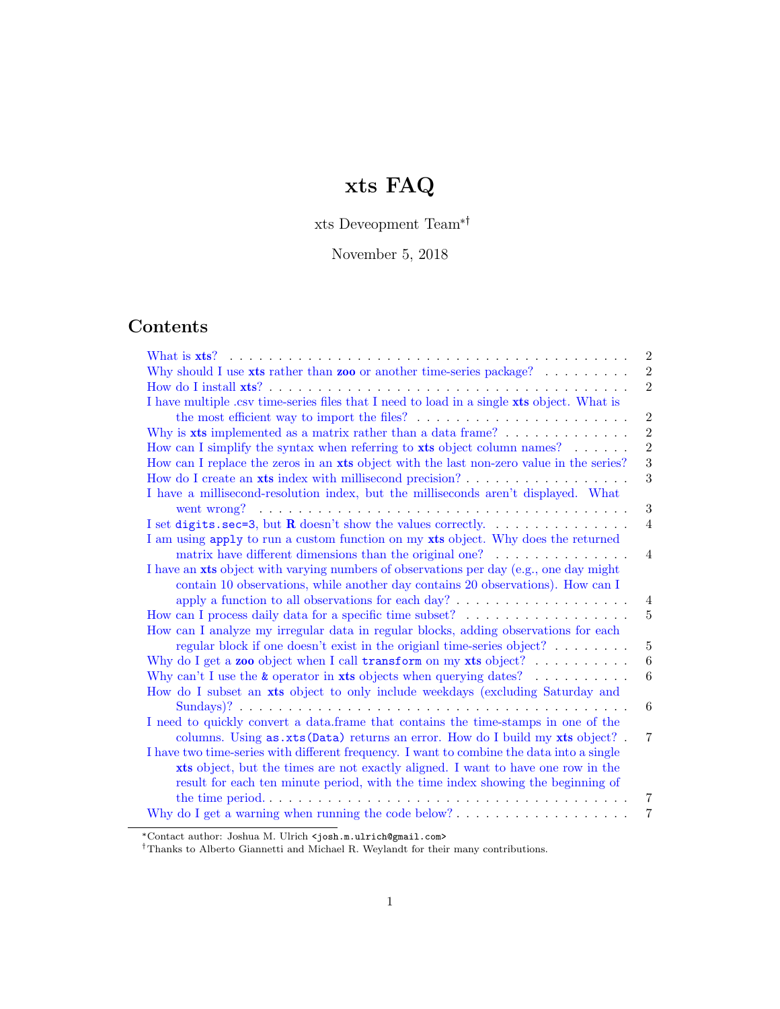# xts FAQ

xts Deveopment Team\*

November 5, 2018

# Contents

| $\overline{2}$                                                                                                     |
|--------------------------------------------------------------------------------------------------------------------|
| $\overline{2}$<br>Why should I use xts rather than zoo or another time-series package? $\dots \dots$               |
| $\overline{2}$                                                                                                     |
| I have multiple .csv time-series files that I need to load in a single xts object. What is                         |
| $\overline{2}$                                                                                                     |
| $\overline{2}$<br>Why is $x$ ts implemented as a matrix rather than a data frame? $\ldots$ , $\ldots$ , $\ldots$   |
| $\overline{2}$<br>How can I simplify the syntax when referring to xts object column names?                         |
| 3<br>How can I replace the zeros in an xts object with the last non-zero value in the series?                      |
| 3                                                                                                                  |
| I have a millisecond-resolution index, but the milliseconds aren't displayed. What                                 |
| 3                                                                                                                  |
| I set digits . sec=3, but <b>R</b> doesn't show the values correctly.<br>$\overline{4}$                            |
| I am using apply to run a custom function on my xts object. Why does the returned                                  |
| matrix have different dimensions than the original one?<br>$\overline{4}$                                          |
| I have an xts object with varying numbers of observations per day (e.g., one day might                             |
| contain 10 observations, while another day contains 20 observations). How can I                                    |
| apply a function to all observations for each day? $\dots \dots \dots \dots \dots \dots$<br>4                      |
| $\overline{5}$                                                                                                     |
| How can I analyze my irregular data in regular blocks, adding observations for each                                |
| $\overline{5}$<br>regular block if one doesn't exist in the origian time-series object?                            |
| 6<br>Why do I get a <b>zoo</b> object when I call <b>transform</b> on my <b>xts</b> object? $\ldots \ldots \ldots$ |
| $\boldsymbol{6}$<br>Why can't I use the $\&$ operator in xts objects when querying dates?                          |
| How do I subset an xts object to only include weekdays (excluding Saturday and                                     |
| 6                                                                                                                  |
| I need to quickly convert a data.frame that contains the time-stamps in one of the                                 |
| columns. Using as.xts (Data) returns an error. How do I build my xts object? .<br>7                                |
| I have two time-series with different frequency. I want to combine the data into a single                          |
| xts object, but the times are not exactly aligned. I want to have one row in the                                   |
| result for each ten minute period, with the time index showing the beginning of                                    |
| 7                                                                                                                  |
| 7                                                                                                                  |

<sup>\*</sup>Contact author: Joshua M. Ulrich <josh.m.ulrich@gmail.com>

Thanks to Alberto Giannetti and Michael R. Weylandt for their many contributions.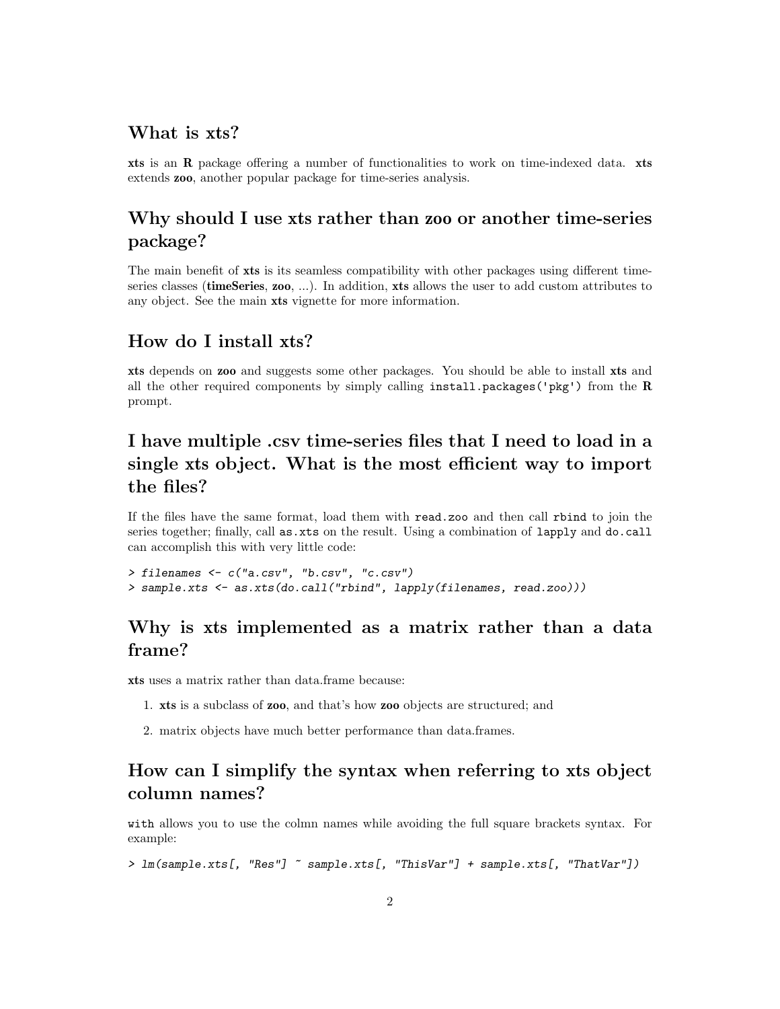### <span id="page-1-0"></span>What is xts?

xts is an R package offering a number of functionalities to work on time-indexed data. xts extends zoo, another popular package for time-series analysis.

### <span id="page-1-1"></span>Why should I use xts rather than zoo or another time-series package?

The main benefit of xts is its seamless compatibility with other packages using different timeseries classes (timeSeries, zoo, ...). In addition, xts allows the user to add custom attributes to any object. See the main xts vignette for more information.

### <span id="page-1-2"></span>How do I install xts?

xts depends on zoo and suggests some other packages. You should be able to install xts and all the other required components by simply calling install.packages('pkg') from the  $R$ prompt.

## <span id="page-1-3"></span>I have multiple .csv time-series files that I need to load in a single xts object. What is the most efficient way to import the files?

If the files have the same format, load them with read.zoo and then call rbind to join the series together; finally, call as xts on the result. Using a combination of lapply and do.call can accomplish this with very little code:

```
> filenames <- c("a.csv", "b.csv", "c.csv")
> sample.xts <- as.xts(do.call("rbind", lapply(filenames, read.zoo)))
```
### <span id="page-1-4"></span>Why is xts implemented as a matrix rather than a data frame?

xts uses a matrix rather than data.frame because:

- 1. xts is a subclass of zoo, and that's how zoo objects are structured; and
- 2. matrix objects have much better performance than data.frames.

# <span id="page-1-5"></span>How can I simplify the syntax when referring to xts object column names?

with allows you to use the colmn names while avoiding the full square brackets syntax. For example:

```
> lm(sample.xts[, "Res"] ~ sample.xts[, "ThisVar"] + sample.xts[, "ThatVar"])
```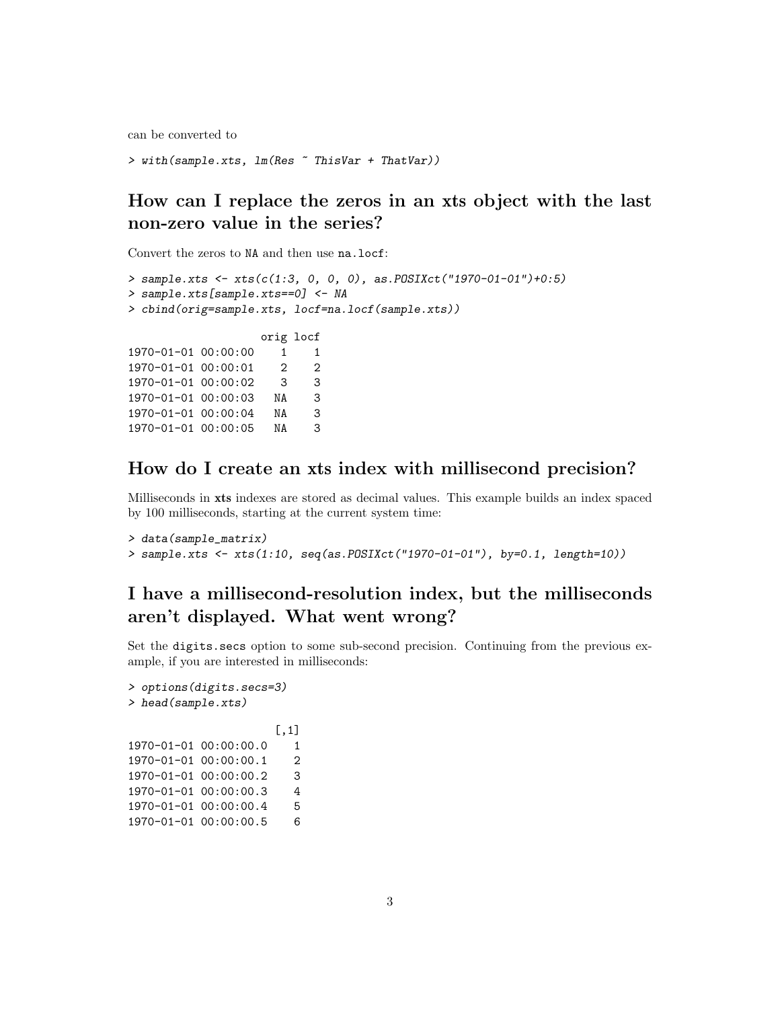can be converted to

```
> with(sample.xts, lm(Res ~ ThisVar + ThatVar))
```
## <span id="page-2-0"></span>How can I replace the zeros in an xts object with the last non-zero value in the series?

Convert the zeros to NA and then use na.locf:

```
> sample.xts <- xts(c(1:3, 0, 0, 0), as.POSIXct("1970-01-01")+0:5)
> sample.xts[sample.xts==0] <- NA
> cbind(orig=sample.xts, locf=na.locf(sample.xts))
                  orig locf
1970-01-01 00:00:00 1 1
1970-01-01 00:00:01 2 2
1970-01-01 00:00:02 3 3
1970-01-01 00:00:03 NA 3
1970-01-01 00:00:04 NA 3
1970-01-01 00:00:05 NA 3
```
### <span id="page-2-1"></span>How do I create an xts index with millisecond precision?

Milliseconds in xts indexes are stored as decimal values. This example builds an index spaced by 100 milliseconds, starting at the current system time:

```
> data(sample_matrix)
> sample.xts <- xts(1:10, seq(as.POSIXct("1970-01-01"), by=0.1, length=10))
```
# <span id="page-2-2"></span>I have a millisecond-resolution index, but the milliseconds aren't displayed. What went wrong?

Set the digits.secs option to some sub-second precision. Continuing from the previous example, if you are interested in milliseconds:

```
> options(digits.secs=3)
> head(sample.xts)
                    [,1]
1970-01-01 00:00:00.0 1
1970-01-01 00:00:00.1 2
1970-01-01 00:00:00.2 3
1970-01-01 00:00:00.3 4
1970-01-01 00:00:00.4 5
1970-01-01 00:00:00.5 6
```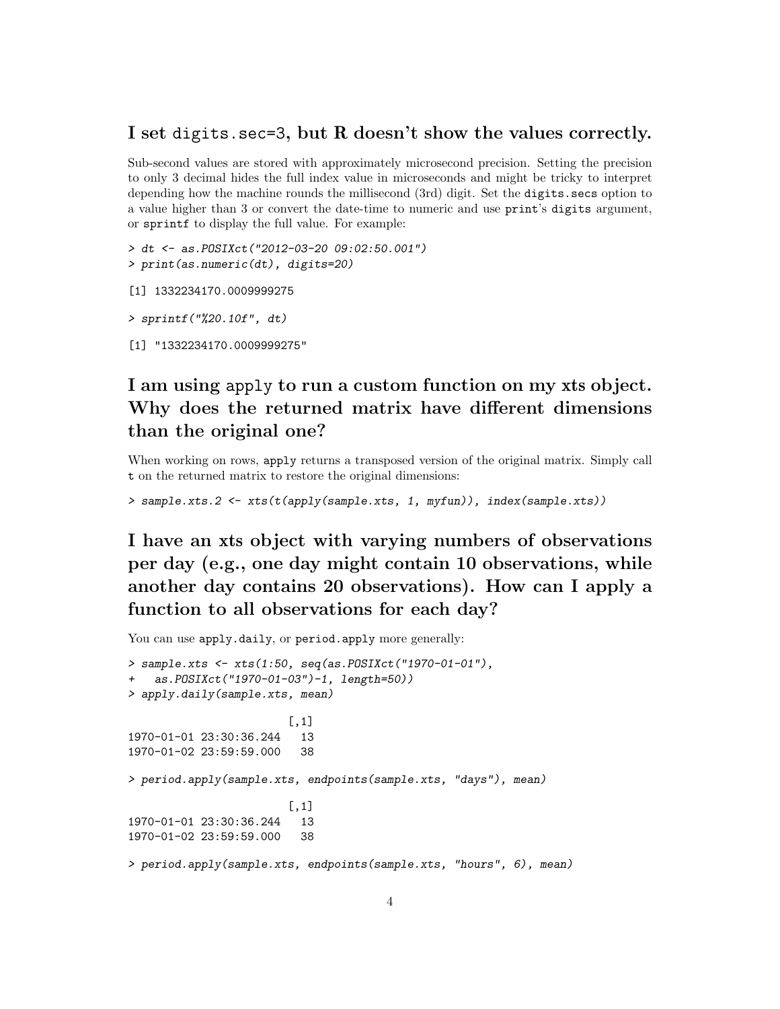#### <span id="page-3-0"></span>I set digits.sec=3, but R doesn't show the values correctly.

Sub-second values are stored with approximately microsecond precision. Setting the precision to only 3 decimal hides the full index value in microseconds and might be tricky to interpret depending how the machine rounds the millisecond (3rd) digit. Set the digits.secs option to a value higher than 3 or convert the date-time to numeric and use print's digits argument, or sprintf to display the full value. For example:

```
> dt <- as.POSIXct("2012-03-20 09:02:50.001")
> print(as.numeric(dt), digits=20)
```

```
[1] 1332234170.0009999275
```

```
> sprintf("%20.10f", dt)
```

```
[1] "1332234170.0009999275"
```
### <span id="page-3-1"></span>I am using apply to run a custom function on my xts object. Why does the returned matrix have different dimensions than the original one?

When working on rows, apply returns a transposed version of the original matrix. Simply call t on the returned matrix to restore the original dimensions:

```
> sample.xts.2 <- xts(t(apply(sample.xts, 1, myfun)), index(sample.xts))
```
<span id="page-3-2"></span>I have an xts object with varying numbers of observations per day (e.g., one day might contain 10 observations, while another day contains 20 observations). How can I apply a function to all observations for each day?

You can use apply.daily, or period.apply more generally:

```
> sample.xts <- xts(1:50, seq(as.POSIXct("1970-01-01"),
   as.POSIXct("1970-01-03")-1, length=50))
> apply.daily(sample.xts, mean)
                        [,1]
1970-01-01 23:30:36.244 13
1970-01-02 23:59:59.000 38
> period.apply(sample.xts, endpoints(sample.xts, "days"), mean)
                        [,1]
1970-01-01 23:30:36.244 13
1970-01-02 23:59:59.000 38
> period.apply(sample.xts, endpoints(sample.xts, "hours", 6), mean)
```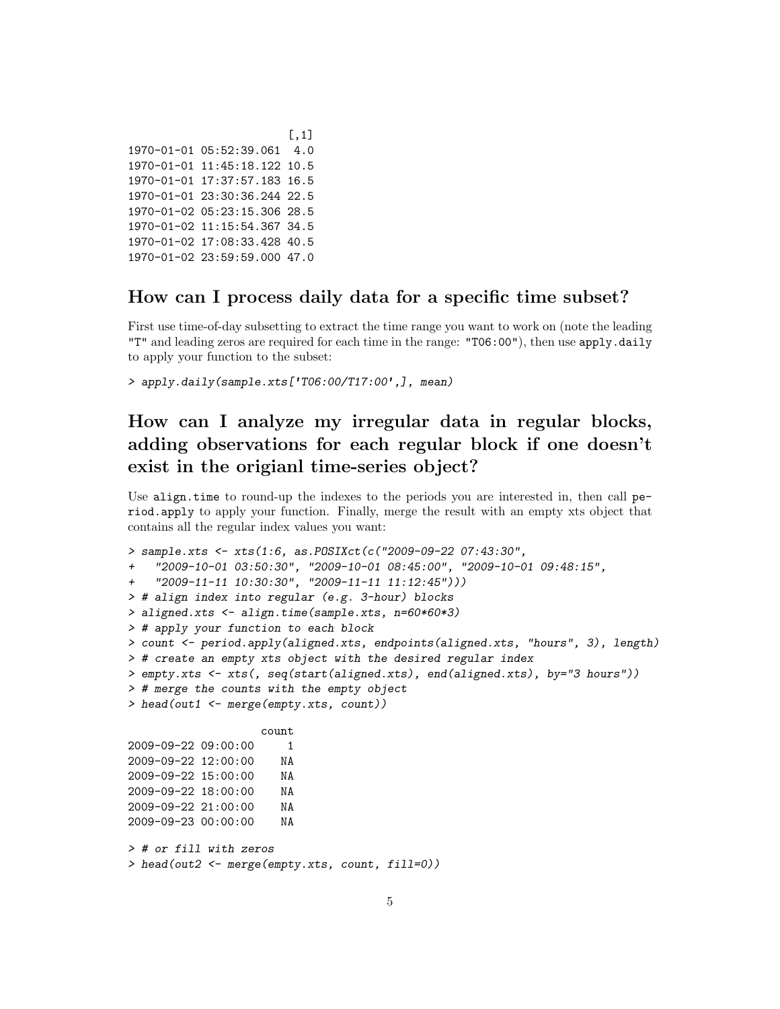```
[,1]
1970-01-01 05:52:39.061 4.0
1970-01-01 11:45:18.122 10.5
1970-01-01 17:37:57.183 16.5
1970-01-01 23:30:36.244 22.5
1970-01-02 05:23:15.306 28.5
1970-01-02 11:15:54.367 34.5
1970-01-02 17:08:33.428 40.5
1970-01-02 23:59:59.000 47.0
```
### <span id="page-4-0"></span>How can I process daily data for a specific time subset?

First use time-of-day subsetting to extract the time range you want to work on (note the leading "T" and leading zeros are required for each time in the range: "T06:00"), then use apply.daily to apply your function to the subset:

> apply.daily(sample.xts['T06:00/T17:00',], mean)

# <span id="page-4-1"></span>How can I analyze my irregular data in regular blocks, adding observations for each regular block if one doesn't exist in the origianl time-series object?

Use align.time to round-up the indexes to the periods you are interested in, then call period.apply to apply your function. Finally, merge the result with an empty xts object that contains all the regular index values you want:

```
> sample.xts <- xts(1:6, as.POSIXct(c("2009-09-22 07:43:30",
+ "2009-10-01 03:50:30", "2009-10-01 08:45:00", "2009-10-01 09:48:15",
    + "2009-11-11 10:30:30", "2009-11-11 11:12:45")))
> # align index into regular (e.g. 3-hour) blocks
> aligned.xts <- align.time(sample.xts, n=60*60*3)
> # apply your function to each block
> count <- period.apply(aligned.xts, endpoints(aligned.xts, "hours", 3), length)
> # create an empty xts object with the desired regular index
> empty.xts <- xts(, seq(start(aligned.xts), end(aligned.xts), by="3 hours"))
> # merge the counts with the empty object
> head(out1 <- merge(empty.xts, count))
                   count
2009-09-22 09:00:00 1
2009-09-22 12:00:00 NA
2009-09-22 15:00:00 NA
2009-09-22 18:00:00 NA
2009-09-22 21:00:00 NA
2009-09-23 00:00:00 NA
> # or fill with zeros
> head(out2 <- merge(empty.xts, count, fill=0))
```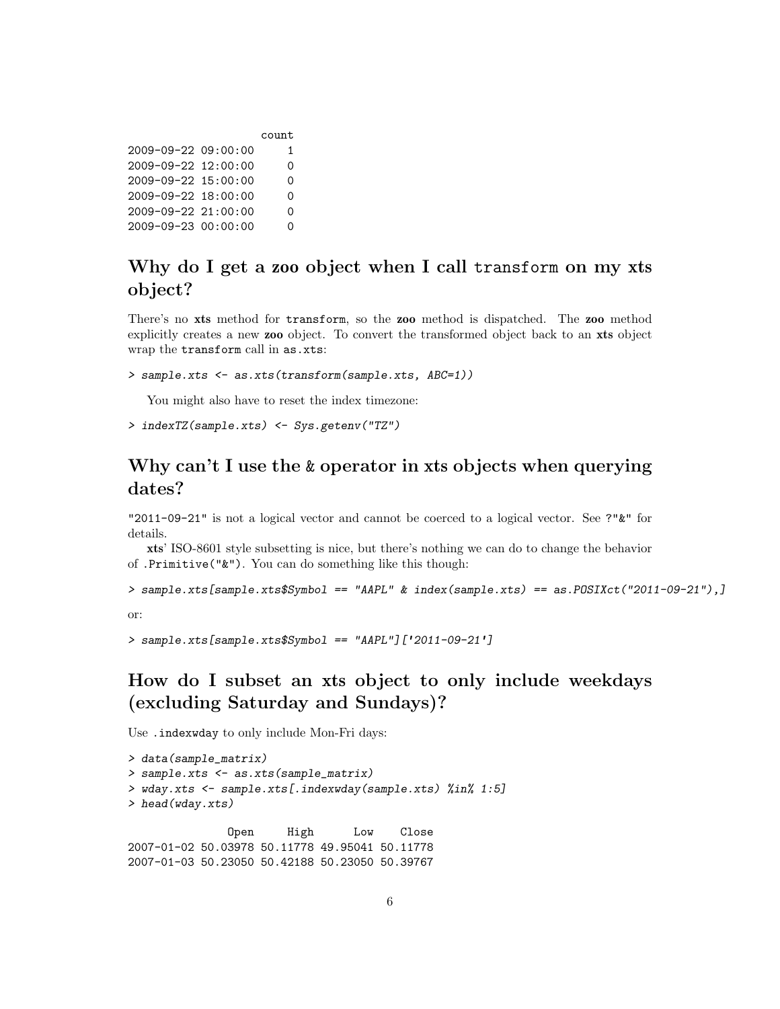|                           | count |
|---------------------------|-------|
| 2009-09-22 09:00:00       | 1.    |
| 2009-09-22 12:00:00       | 0     |
| 2009-09-22 15:00:00       | 0     |
| $2009 - 09 - 22$ 18:00:00 | 0     |
| 2009-09-22 21:00:00       | 0     |
| 2009-09-23 00:00:00       | ∩     |

### <span id="page-5-0"></span>Why do I get a zoo object when I call transform on my xts object?

There's no xts method for transform, so the zoo method is dispatched. The zoo method explicitly creates a new zoo object. To convert the transformed object back to an xts object wrap the transform call in as.xts:

```
> sample.xts <- as.xts(transform(sample.xts, ABC=1))
```
You might also have to reset the index timezone:

```
> indexTZ(sample.xts) <- Sys.getenv("TZ")
```
# <span id="page-5-1"></span>Why can't I use the & operator in xts objects when querying dates?

"2011-09-21" is not a logical vector and cannot be coerced to a logical vector. See ?"&" for details.

xts' ISO-8601 style subsetting is nice, but there's nothing we can do to change the behavior of .Primitive("&"). You can do something like this though:

```
> sample.xts[sample.xts$Symbol == "AAPL" & index(sample.xts) == as.POSIXct("2011-09-21"),]
or:
```

```
> sample.xts[sample.xts$Symbol == "AAPL"]['2011-09-21']
```
# <span id="page-5-2"></span>How do I subset an xts object to only include weekdays (excluding Saturday and Sundays)?

Use .indexwday to only include Mon-Fri days:

```
> data(sample_matrix)
> sample.xts <- as.xts(sample_matrix)
> wday.xts <- sample.xts[.indexwday(sample.xts) %in% 1:5]
> head(wday.xts)
              Open High Low Close
2007-01-02 50.03978 50.11778 49.95041 50.11778
```
2007-01-03 50.23050 50.42188 50.23050 50.39767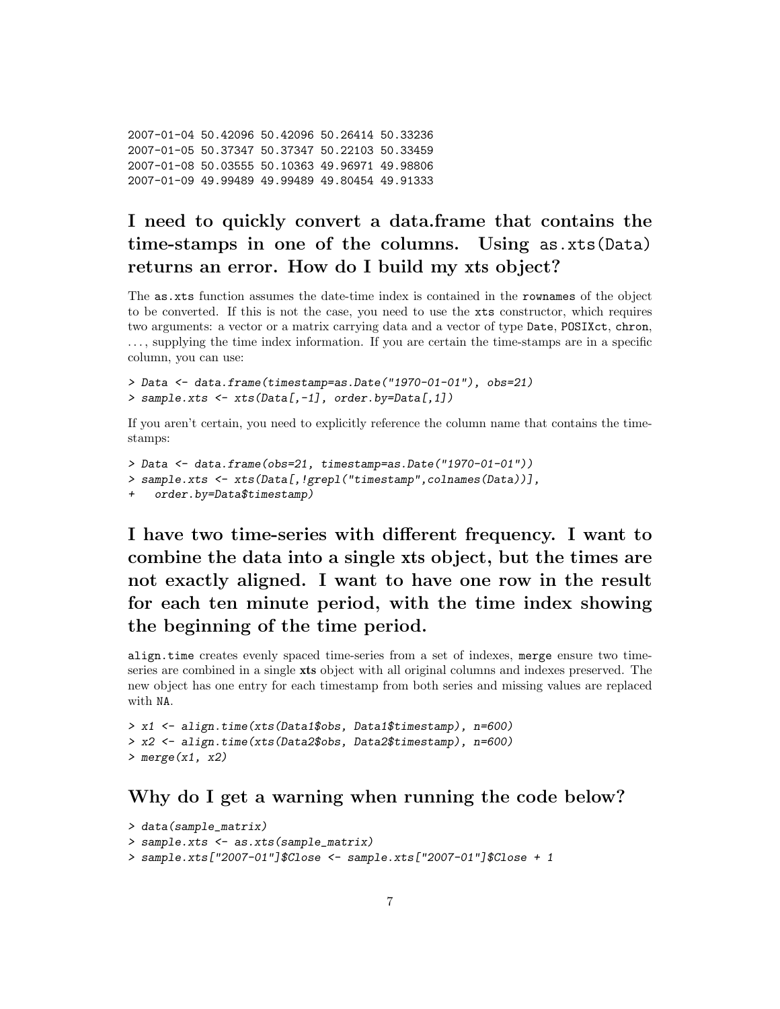```
2007-01-04 50.42096 50.42096 50.26414 50.33236
2007-01-05 50.37347 50.37347 50.22103 50.33459
2007-01-08 50.03555 50.10363 49.96971 49.98806
2007-01-09 49.99489 49.99489 49.80454 49.91333
```
# <span id="page-6-0"></span>I need to quickly convert a data.frame that contains the time-stamps in one of the columns. Using as.xts(Data) returns an error. How do I build my xts object?

The as.xts function assumes the date-time index is contained in the rownames of the object to be converted. If this is not the case, you need to use the xts constructor, which requires two arguments: a vector or a matrix carrying data and a vector of type Date, POSIXct, chron, . . . , supplying the time index information. If you are certain the time-stamps are in a specific column, you can use:

```
> Data <- data.frame(timestamp=as.Date("1970-01-01"), obs=21)
> sample.xts <- xts(Data[,-1], order.by=Data[,1])
```
If you aren't certain, you need to explicitly reference the column name that contains the timestamps:

```
> Data <- data.frame(obs=21, timestamp=as.Date("1970-01-01"))
> sample.xts <- xts(Data[,!grepl("timestamp",colnames(Data))],
   order.by=Data$timestamp)
```
<span id="page-6-1"></span>I have two time-series with different frequency. I want to combine the data into a single xts object, but the times are not exactly aligned. I want to have one row in the result for each ten minute period, with the time index showing the beginning of the time period.

align.time creates evenly spaced time-series from a set of indexes, merge ensure two timeseries are combined in a single xts object with all original columns and indexes preserved. The new object has one entry for each timestamp from both series and missing values are replaced with NA.

```
> x1 <- align.time(xts(Data1$obs, Data1$timestamp), n=600)
> x2 <- align.time(xts(Data2$obs, Data2$timestamp), n=600)
> merge(x1, x2)
```
### <span id="page-6-2"></span>Why do I get a warning when running the code below?

```
> data(sample_matrix)
> sample.xts <- as.xts(sample_matrix)
> sample.xts["2007-01"]$Close <- sample.xts["2007-01"]$Close + 1
```